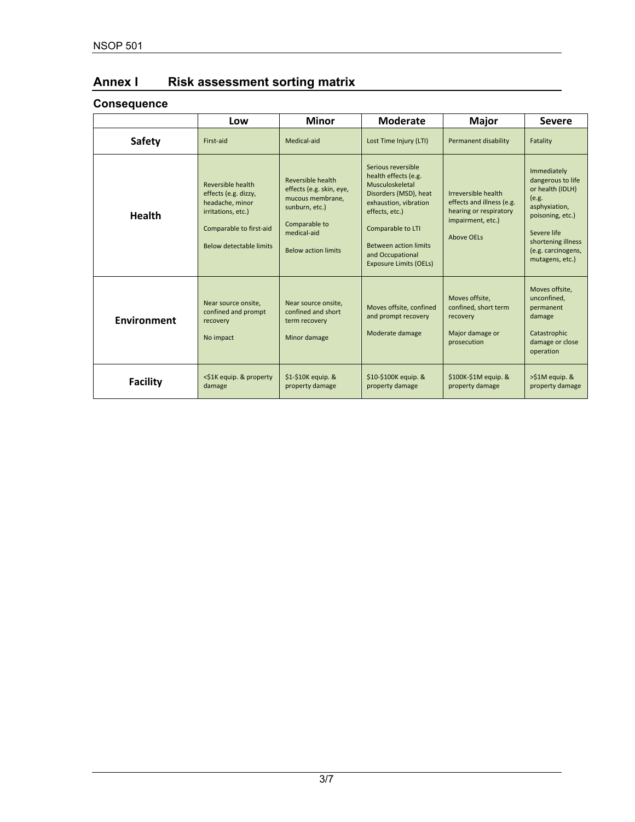# **Annex I Risk assessment sorting matrix**

# **Consequence**

|                 | Low                                                                                                                                      | <b>Minor</b>                                                                                                                                      | <b>Moderate</b>                                                                                                                                                                                                                             | <b>Major</b>                                                                                                         | <b>Severe</b>                                                                                                                                                                    |
|-----------------|------------------------------------------------------------------------------------------------------------------------------------------|---------------------------------------------------------------------------------------------------------------------------------------------------|---------------------------------------------------------------------------------------------------------------------------------------------------------------------------------------------------------------------------------------------|----------------------------------------------------------------------------------------------------------------------|----------------------------------------------------------------------------------------------------------------------------------------------------------------------------------|
| <b>Safety</b>   | First-aid                                                                                                                                | Medical-aid                                                                                                                                       | Lost Time Injury (LTI)                                                                                                                                                                                                                      | Permanent disability                                                                                                 | Fatality                                                                                                                                                                         |
| <b>Health</b>   | Reversible health<br>effects (e.g. dizzy,<br>headache, minor<br>irritations, etc.)<br>Comparable to first-aid<br>Below detectable limits | Reversible health<br>effects (e.g. skin, eye,<br>mucous membrane.<br>sunburn, etc.)<br>Comparable to<br>medical-aid<br><b>Below action limits</b> | Serious reversible<br>health effects (e.g.<br>Musculoskeletal<br>Disorders (MSD), heat<br>exhaustion, vibration<br>effects, etc.)<br>Comparable to LTI<br><b>Between action limits</b><br>and Occupational<br><b>Exposure Limits (OELs)</b> | Irreversible health<br>effects and illness (e.g.<br>hearing or respiratory<br>impairment, etc.)<br><b>Above OELs</b> | Immediately<br>dangerous to life<br>or health (IDLH)<br>(e.g.<br>asphyxiation,<br>poisoning, etc.)<br>Severe life<br>shortening illness<br>(e.g. carcinogens,<br>mutagens, etc.) |
| Environment     | Near source onsite,<br>confined and prompt<br>recovery<br>No impact                                                                      | Near source onsite,<br>confined and short<br>term recovery<br>Minor damage                                                                        | Moves offsite, confined<br>and prompt recovery<br>Moderate damage                                                                                                                                                                           | Moves offsite,<br>confined, short term<br>recovery<br>Major damage or<br>prosecution                                 | Moves offsite,<br>unconfined,<br>permanent<br>damage<br>Catastrophic<br>damage or close<br>operation                                                                             |
| <b>Facility</b> | <\$1K equip. & property<br>damage                                                                                                        | $$1-$10K$ equip. &<br>property damage                                                                                                             | $$10-$100K$ equip. &<br>property damage                                                                                                                                                                                                     | $$100K-S1M$ equip. &<br>property damage                                                                              | >\$1M equip. &<br>property damage                                                                                                                                                |